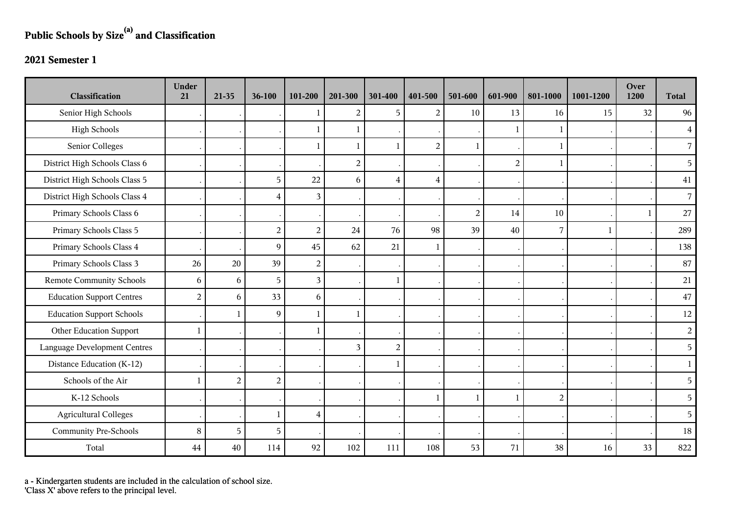## **Public Schools by Size(a) and Classification**

## **2021 Semester 1**

| <b>Classification</b>               | <b>Under</b><br>21 | 21-35          | 36-100                  | 101-200        | 201-300        | 301-400        | 401-500        | 501-600        | 601-900        | 801-1000       | 1001-1200    | Over<br>1200 | <b>Total</b>   |
|-------------------------------------|--------------------|----------------|-------------------------|----------------|----------------|----------------|----------------|----------------|----------------|----------------|--------------|--------------|----------------|
| Senior High Schools                 |                    |                |                         |                | 2              | 5              | 2              | 10             | 13             | 16             | 15           | 32           | 96             |
| <b>High Schools</b>                 |                    |                |                         |                | $\mathbf 1$    |                |                |                |                | 1              |              |              | $\overline{4}$ |
| Senior Colleges                     |                    |                |                         | -1             | 1              | $\mathbf{1}$   | $\overline{2}$ | $\mathbf{1}$   |                | 1              |              |              | $\overline{7}$ |
| District High Schools Class 6       |                    |                |                         |                | $\overline{2}$ |                |                |                | $\overline{2}$ | $\mathbf{1}$   |              |              | 5              |
| District High Schools Class 5       |                    |                | 5                       | 22             | 6              | $\overline{4}$ | $\overline{4}$ |                |                |                |              |              | 41             |
| District High Schools Class 4       |                    |                | $\overline{\mathbf{4}}$ | 3              |                |                |                |                |                |                |              |              | $\overline{7}$ |
| Primary Schools Class 6             |                    |                |                         |                |                |                |                | $\overline{2}$ | 14             | 10             |              | 1            | 27             |
| Primary Schools Class 5             |                    |                | $\sqrt{2}$              | $\overline{c}$ | 24             | 76             | 98             | 39             | 40             | 7              | $\mathbf{1}$ |              | 289            |
| Primary Schools Class 4             |                    |                | 9                       | 45             | 62             | 21             | 1              |                |                |                |              |              | 138            |
| Primary Schools Class 3             | 26                 | 20             | 39                      | $\overline{c}$ |                |                |                |                |                |                |              |              | 87             |
| <b>Remote Community Schools</b>     | 6                  | 6              | 5                       | $\overline{3}$ |                | $\mathbf{1}$   |                |                |                |                |              |              | $21\,$         |
| <b>Education Support Centres</b>    | $\overline{2}$     | 6              | 33                      | 6              |                |                |                |                |                |                |              |              | $47\,$         |
| <b>Education Support Schools</b>    |                    | $\mathbf{1}$   | $\overline{9}$          | -1             | $\mathbf{1}$   |                |                |                |                |                |              |              | 12             |
| Other Education Support             | $\mathbf{1}$       |                |                         | -1             |                |                |                |                |                |                |              |              | $\overline{2}$ |
| <b>Language Development Centres</b> |                    |                |                         |                | $\overline{3}$ | $\overline{2}$ |                |                |                |                |              |              | 5              |
| Distance Education (K-12)           |                    |                |                         |                |                |                |                |                |                |                |              |              | $\mathbf{1}$   |
| Schools of the Air                  |                    | $\overline{c}$ | $\sqrt{2}$              |                |                |                |                |                |                |                |              |              | 5              |
| K-12 Schools                        |                    |                |                         |                |                |                | 1              | $\mathbf{1}$   |                | $\overline{2}$ |              |              | 5 <sup>1</sup> |
| <b>Agricultural Colleges</b>        |                    |                | $\mathbf{1}$            | $\overline{4}$ |                |                |                |                |                |                |              |              | 5              |
| <b>Community Pre-Schools</b>        | 8                  | 5              | 5                       |                |                |                |                |                |                |                |              |              | 18             |
| Total                               | 44                 | 40             | 114                     | 92             | 102            | 111            | 108            | 53             | 71             | 38             | 16           | 33           | 822            |

a - Kindergarten students are included in the calculation of school size.

'Class X' above refers to the principal level.